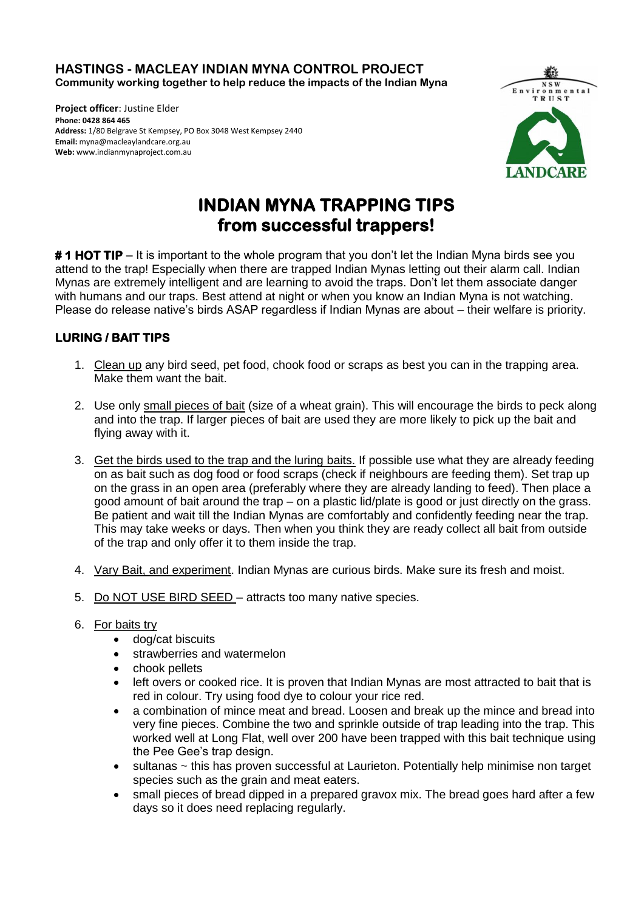**HASTINGS - MACLEAY INDIAN MYNA CONTROL PROJECT Community working together to help reduce the impacts of the Indian Myna** 

**Project officer**: Justine Elder **Phone: 0428 864 465 Address:** 1/80 Belgrave St Kempsey, PO Box 3048 West Kempsey 2440 **Email:** myna@macleaylandcare.org.au **Web:** www.indianmynaproject.com.au



## **INDIAN MYNA TRAPPING TIPS from successful trappers!**

**# 1 HOT TIP** – It is important to the whole program that you don't let the Indian Myna birds see you attend to the trap! Especially when there are trapped Indian Mynas letting out their alarm call. Indian Mynas are extremely intelligent and are learning to avoid the traps. Don't let them associate danger with humans and our traps. Best attend at night or when you know an Indian Myna is not watching. Please do release native's birds ASAP regardless if Indian Mynas are about – their welfare is priority.

## **LURING / BAIT TIPS**

- 1. Clean up any bird seed, pet food, chook food or scraps as best you can in the trapping area. Make them want the bait.
- 2. Use only small pieces of bait (size of a wheat grain). This will encourage the birds to peck along and into the trap. If larger pieces of bait are used they are more likely to pick up the bait and flying away with it.
- 3. Get the birds used to the trap and the luring baits. If possible use what they are already feeding on as bait such as dog food or food scraps (check if neighbours are feeding them). Set trap up on the grass in an open area (preferably where they are already landing to feed). Then place a good amount of bait around the trap – on a plastic lid/plate is good or just directly on the grass. Be patient and wait till the Indian Mynas are comfortably and confidently feeding near the trap. This may take weeks or days. Then when you think they are ready collect all bait from outside of the trap and only offer it to them inside the trap.
- 4. Vary Bait, and experiment. Indian Mynas are curious birds. Make sure its fresh and moist.
- 5. Do NOT USE BIRD SEED attracts too many native species.
- 6. For baits try
	- dog/cat biscuits
	- strawberries and watermelon
	- chook pellets
	- left overs or cooked rice. It is proven that Indian Mynas are most attracted to bait that is red in colour. Try using food dye to colour your rice red.
	- a combination of mince meat and bread. Loosen and break up the mince and bread into very fine pieces. Combine the two and sprinkle outside of trap leading into the trap. This worked well at Long Flat, well over 200 have been trapped with this bait technique using the Pee Gee's trap design.
	- sultanas ~ this has proven successful at Laurieton. Potentially help minimise non target species such as the grain and meat eaters.
	- small pieces of bread dipped in a prepared gravox mix. The bread goes hard after a few days so it does need replacing regularly.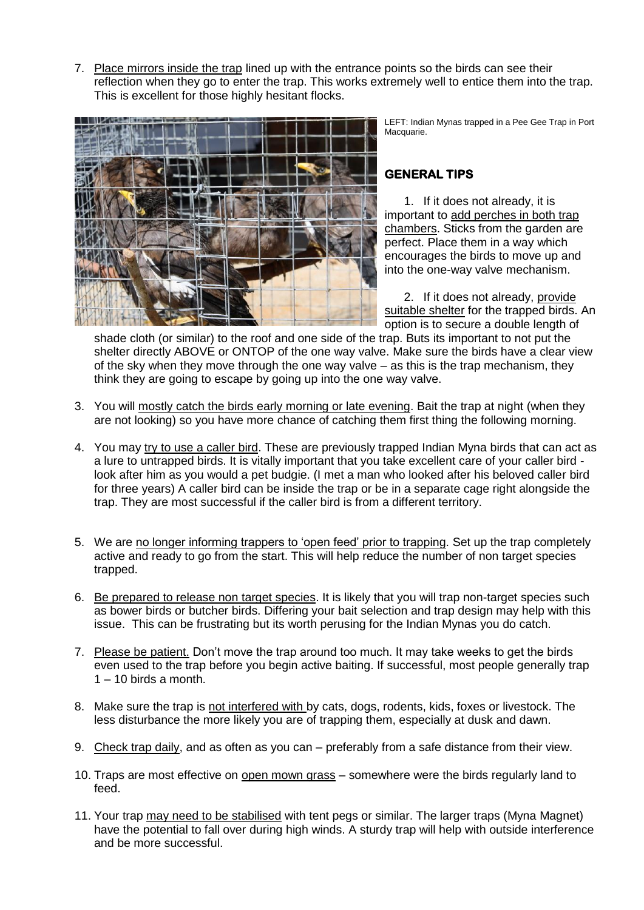7. Place mirrors inside the trap lined up with the entrance points so the birds can see their reflection when they go to enter the trap. This works extremely well to entice them into the trap. This is excellent for those highly hesitant flocks.



LEFT: Indian Mynas trapped in a Pee Gee Trap in Port Macquarie.

## **GENERAL TIPS**

1. If it does not already, it is important to add perches in both trap chambers. Sticks from the garden are perfect. Place them in a way which encourages the birds to move up and into the one-way valve mechanism.

2. If it does not already, provide suitable shelter for the trapped birds. An option is to secure a double length of

shade cloth (or similar) to the roof and one side of the trap. Buts its important to not put the shelter directly ABOVE or ONTOP of the one way valve. Make sure the birds have a clear view of the sky when they move through the one way valve – as this is the trap mechanism, they think they are going to escape by going up into the one way valve.

- 3. You will mostly catch the birds early morning or late evening. Bait the trap at night (when they are not looking) so you have more chance of catching them first thing the following morning.
- 4. You may try to use a caller bird. These are previously trapped Indian Myna birds that can act as a lure to untrapped birds. It is vitally important that you take excellent care of your caller bird look after him as you would a pet budgie. (I met a man who looked after his beloved caller bird for three years) A caller bird can be inside the trap or be in a separate cage right alongside the trap. They are most successful if the caller bird is from a different territory.
- 5. We are no longer informing trappers to 'open feed' prior to trapping. Set up the trap completely active and ready to go from the start. This will help reduce the number of non target species trapped.
- 6. Be prepared to release non target species. It is likely that you will trap non-target species such as bower birds or butcher birds. Differing your bait selection and trap design may help with this issue. This can be frustrating but its worth perusing for the Indian Mynas you do catch.
- 7. Please be patient. Don't move the trap around too much. It may take weeks to get the birds even used to the trap before you begin active baiting. If successful, most people generally trap  $1 - 10$  birds a month.
- 8. Make sure the trap is not interfered with by cats, dogs, rodents, kids, foxes or livestock. The less disturbance the more likely you are of trapping them, especially at dusk and dawn.
- 9. Check trap daily, and as often as you can preferably from a safe distance from their view.
- 10. Traps are most effective on open mown grass somewhere were the birds regularly land to feed.
- 11. Your trap may need to be stabilised with tent pegs or similar. The larger traps (Myna Magnet) have the potential to fall over during high winds. A sturdy trap will help with outside interference and be more successful.